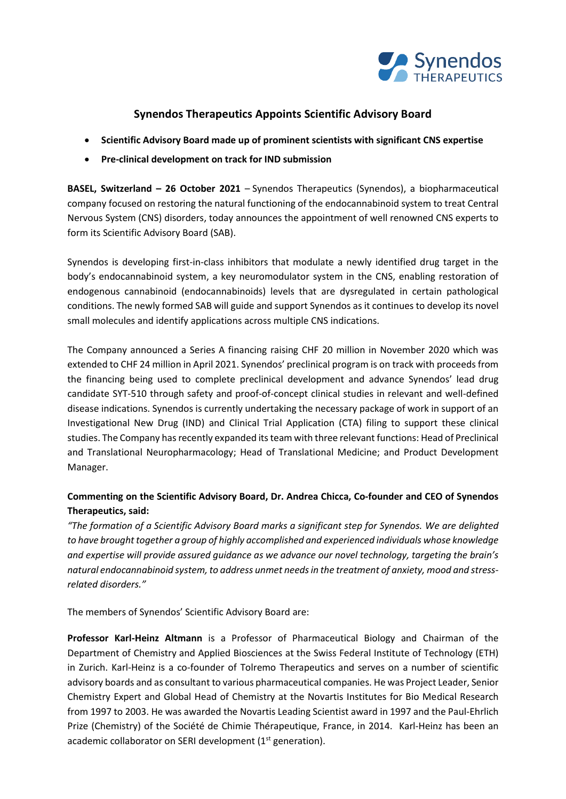

# **Synendos Therapeutics Appoints Scientific Advisory Board**

- **Scientific Advisory Board made up of prominent scientists with significant CNS expertise**
- **Pre-clinical development on track for IND submission**

**BASEL, Switzerland – 26 October 2021** – Synendos Therapeutics (Synendos), a biopharmaceutical company focused on restoring the natural functioning of the endocannabinoid system to treat Central Nervous System (CNS) disorders, today announces the appointment of well renowned CNS experts to form its Scientific Advisory Board (SAB).

Synendos is developing first-in-class inhibitors that modulate a newly identified drug target in the body's endocannabinoid system, a key neuromodulator system in the CNS, enabling restoration of endogenous cannabinoid (endocannabinoids) levels that are dysregulated in certain pathological conditions. The newly formed SAB will guide and support Synendos as it continues to develop its novel small molecules and identify applications across multiple CNS indications.

The Company announced a Series A financing raising CHF 20 million in November 2020 which was extended to CHF 24 million in April 2021. Synendos' preclinical program is on track with proceeds from the financing being used to complete preclinical development and advance Synendos' lead drug candidate SYT-510 through safety and proof-of-concept clinical studies in relevant and well-defined disease indications. Synendos is currently undertaking the necessary package of work in support of an Investigational New Drug (IND) and Clinical Trial Application (CTA) filing to support these clinical studies. The Company has recently expanded its team with three relevant functions: Head of Preclinical and Translational Neuropharmacology; Head of Translational Medicine; and Product Development Manager.

# **Commenting on the Scientific Advisory Board, Dr. Andrea Chicca, Co-founder and CEO of Synendos Therapeutics, said:**

*"The formation of a Scientific Advisory Board marks a significant step for Synendos. We are delighted to have brought together a group of highly accomplished and experienced individuals whose knowledge and expertise will provide assured guidance as we advance our novel technology, targeting the brain's natural endocannabinoid system,to address unmet needs in the treatment of anxiety, mood and stressrelated disorders."*

The members of Synendos' Scientific Advisory Board are:

**Professor Karl-Heinz Altmann** is a Professor of Pharmaceutical Biology and Chairman of the Department of Chemistry and Applied Biosciences at the Swiss Federal Institute of Technology (ETH) in Zurich. Karl-Heinz is a co-founder of Tolremo Therapeutics and serves on a number of scientific advisory boards and as consultant to various pharmaceutical companies. He was Project Leader, Senior Chemistry Expert and Global Head of Chemistry at the Novartis Institutes for Bio Medical Research from 1997 to 2003. He was awarded the Novartis Leading Scientist award in 1997 and the Paul-Ehrlich Prize (Chemistry) of the Société de Chimie Thérapeutique, France, in 2014. Karl-Heinz has been an academic collaborator on SERI development (1<sup>st</sup> generation).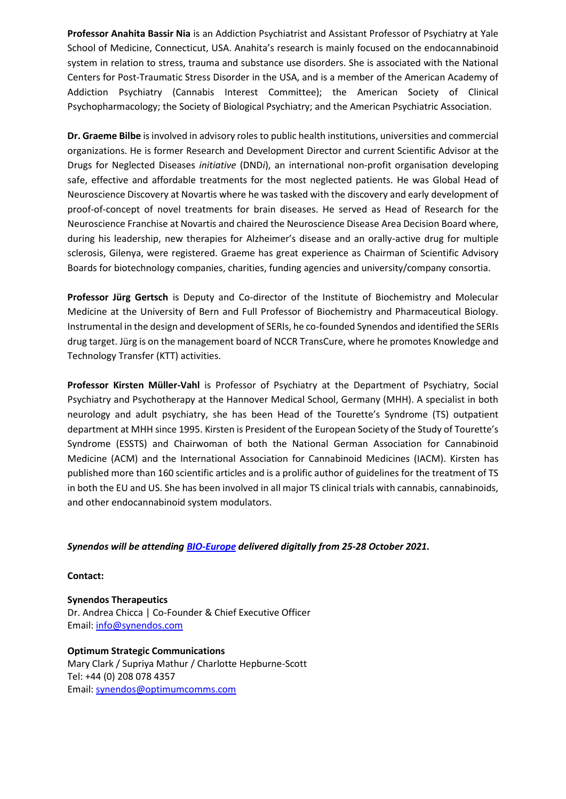**Professor Anahita Bassir Nia** is an Addiction Psychiatrist and Assistant Professor of Psychiatry at Yale School of Medicine, Connecticut, USA. Anahita's research is mainly focused on the endocannabinoid system in relation to stress, trauma and substance use disorders. She is associated with the National Centers for Post-Traumatic Stress Disorder in the USA, and is a member of the American Academy of Addiction Psychiatry (Cannabis Interest Committee); the American Society of Clinical Psychopharmacology; the Society of Biological Psychiatry; and the American Psychiatric Association.

**Dr. Graeme Bilbe** is involved in advisory roles to public health institutions, universities and commercial organizations. He is former Research and Development Director and current Scientific Advisor at the Drugs for Neglected Diseases *initiative* (DND*i*), an international non-profit organisation developing safe, effective and affordable treatments for the most neglected patients. He was Global Head of Neuroscience Discovery at Novartis where he was tasked with the discovery and early development of proof-of-concept of novel treatments for brain diseases. He served as Head of Research for the Neuroscience Franchise at Novartis and chaired the Neuroscience Disease Area Decision Board where, during his leadership, new therapies for Alzheimer's disease and an orally-active drug for multiple sclerosis, Gilenya, were registered. Graeme has great experience as Chairman of Scientific Advisory Boards for biotechnology companies, charities, funding agencies and university/company consortia.

**Professor Jürg Gertsch** is Deputy and Co-director of the Institute of Biochemistry and Molecular Medicine at the University of Bern and Full Professor of Biochemistry and Pharmaceutical Biology. Instrumental in the design and development of SERIs, he co-founded Synendos and identified the SERIs drug target. Jürg is on the management board of NCCR TransCure, where he promotes Knowledge and Technology Transfer (KTT) activities.

**Professor Kirsten Müller-Vahl** is Professor of Psychiatry at the Department of Psychiatry, Social Psychiatry and Psychotherapy at the Hannover Medical School, Germany (MHH). A specialist in both neurology and adult psychiatry, she has been Head of the Tourette's Syndrome (TS) outpatient department at MHH since 1995. Kirsten is President of the European Society of the Study of Tourette's Syndrome (ESSTS) and Chairwoman of both the National German Association for Cannabinoid Medicine (ACM) and the International Association for Cannabinoid Medicines (IACM). Kirsten has published more than 160 scientific articles and is a prolific author of guidelines for the treatment of TS in both the EU and US. She has been involved in all major TS clinical trials with cannabis, cannabinoids, and other endocannabinoid system modulators.

## *Synendos will be attending [BIO-Europe](https://informaconnect.com/bioeurope/?gclid=CjwKCAjwtfqKBhBoEiwAZuesiNbz_ieaQNCcDSSdCXOWR64zrlITXxGkImkRhURdfUah9P_prtI5PRoCOssQAvD_BwE) delivered digitally from 25-28 October 2021.*

**Contact:**

**Synendos Therapeutics** Dr. Andrea Chicca | Co-Founder & Chief Executive Officer Email: [info@synendos.co](mailto:info@synendos.ch)m

**Optimum Strategic Communications** Mary Clark / Supriya Mathur / Charlotte Hepburne-Scott Tel: +44 (0) 208 078 4357 Email: [synendos@optimumcomms.com](mailto:synendos@optimumcomms.com)